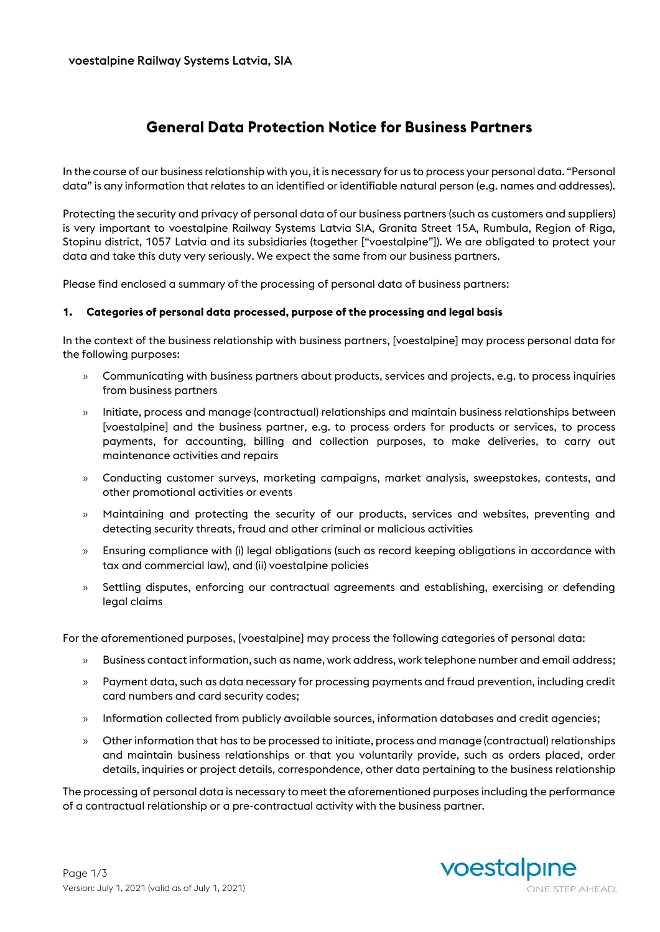# **General Data Protection Notice for Business Partners**

In the course of our business relationship with you, it is necessary for us to process your personal data. "Personal data" is any information that relates to an identified or identifiable natural person (e.g. names and addresses).

Protecting the security and privacy of personal data of our business partners (such as customers and suppliers) is very important to voestalpine Railway Systems Latvia SIA, Granita Street 15A, Rumbula, Region of Riga, Stopinu district, 1057 Latvia and its subsidiaries (together ["voestalpine"]). We are obligated to protect your data and take this duty very seriously. We expect the same from our business partners.

Please find enclosed a summary of the processing of personal data of business partners:

#### **1. Categories of personal data processed, purpose of the processing and legal basis**

In the context of the business relationship with business partners, [voestalpine] may process personal data for the following purposes:

- » Communicating with business partners about products, services and projects, e.g. to process inquiries from business partners
- » Initiate, process and manage (contractual) relationships and maintain business relationships between [voestalpine] and the business partner, e.g. to process orders for products or services, to process payments, for accounting, billing and collection purposes, to make deliveries, to carry out maintenance activities and repairs
- » Conducting customer surveys, marketing campaigns, market analysis, sweepstakes, contests, and other promotional activities or events
- » Maintaining and protecting the security of our products, services and websites, preventing and detecting security threats, fraud and other criminal or malicious activities
- » Ensuring compliance with (i) legal obligations (such as record keeping obligations in accordance with tax and commercial law), and (ii) voestalpine policies
- » Settling disputes, enforcing our contractual agreements and establishing, exercising or defending legal claims

For the aforementioned purposes, [voestalpine] may process the following categories of personal data:

- » Business contact information, such as name, work address, work telephone number and email address;
- » Payment data, such as data necessary for processing payments and fraud prevention, including credit card numbers and card security codes;
- » Information collected from publicly available sources, information databases and credit agencies;
- » Other information that has to be processed to initiate, process and manage (contractual) relationships and maintain business relationships or that you voluntarily provide, such as orders placed, order details, inquiries or project details, correspondence, other data pertaining to the business relationship

The processing of personal data is necessary to meet the aforementioned purposes including the performance of a contractual relationship or a pre-contractual activity with the business partner.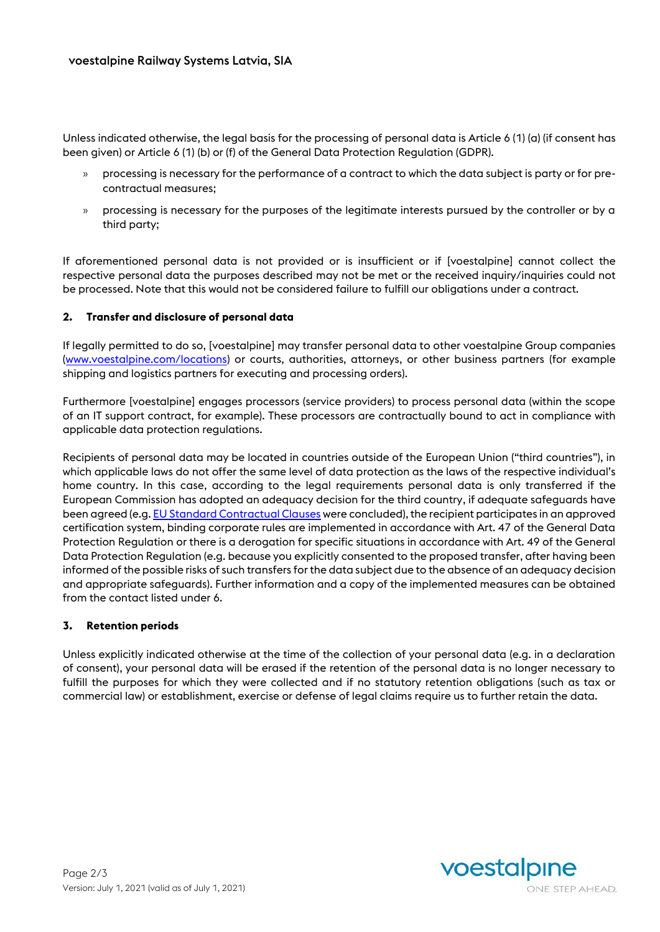Unless indicated otherwise, the legal basis for the processing of personal data is Article 6 (1) (a) (if consent has been given) or Article 6 (1) (b) or (f) of the General Data Protection Regulation (GDPR).

- » processing is necessary for the performance of a contract to which the data subject is party or for precontractual measures;
- » processing is necessary for the purposes of the legitimate interests pursued by the controller or by a third party;

If aforementioned personal data is not provided or is insufficient or if [voestalpine] cannot collect the respective personal data the purposes described may not be met or the received inquiry/inquiries could not be processed. Note that this would not be considered failure to fulfill our obligations under a contract.

### **2. Transfer and disclosure of personal data**

If legally permitted to do so, [voestalpine] may transfer personal data to other voestalpine Group companies [\(www.voestalpine.com/locations\)](http://www.voestalpine.com/locations) or courts, authorities, attorneys, or other business partners (for example shipping and logistics partners for executing and processing orders).

Furthermore [voestalpine] engages processors (service providers) to process personal data (within the scope of an IT support contract, for example). These processors are contractually bound to act in compliance with applicable data protection regulations.

Recipients of personal data may be located in countries outside of the European Union ("third countries"), in which applicable laws do not offer the same level of data protection as the laws of the respective individual's home country. In this case, according to the legal requirements personal data is only transferred if the European Commission has adopted an adequacy decision for the third country, if adequate safeguards have been agreed (e.g[. EU Standard Contractual Clauses](https://ec.europa.eu/info/law/law-topic/data-protection/data-transfers-outside-eu/model-contracts-transfer-personal-data-third-countries_en) were concluded), the recipient participates in an approved certification system, binding corporate rules are implemented in accordance with Art. 47 of the General Data Protection Regulation or there is a derogation for specific situations in accordance with Art. 49 of the General Data Protection Regulation (e.g. because you explicitly consented to the proposed transfer, after having been informed of the possible risks of such transfers for the data subject due to the absence of an adequacy decision and appropriate safeguards). Further information and a copy of the implemented measures can be obtained from the contact listed under 6.

### **3. Retention periods**

Unless explicitly indicated otherwise at the time of the collection of your personal data (e.g. in a declaration of consent), your personal data will be erased if the retention of the personal data is no longer necessary to fulfill the purposes for which they were collected and if no statutory retention obligations (such as tax or commercial law) or establishment, exercise or defense of legal claims require us to further retain the data.